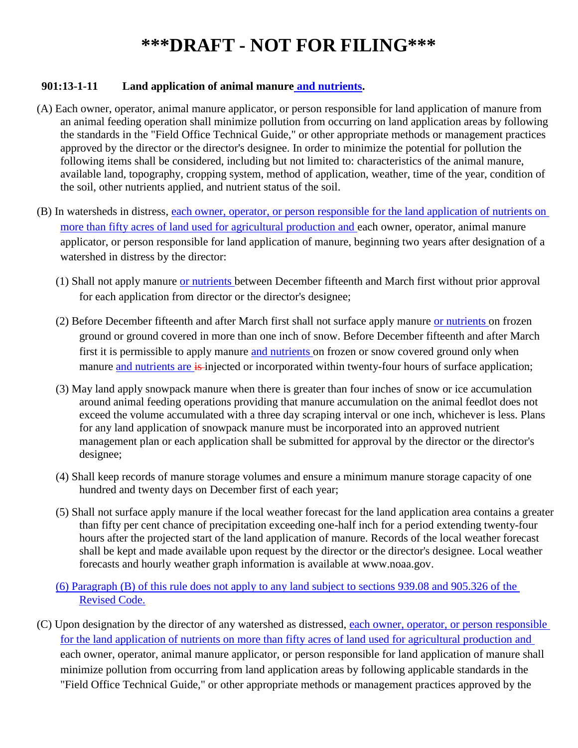### **901:13-1-11 Land application of animal manure and nutrients.**

- (A) Each owner, operator, animal manure applicator, or person responsible for land application of manure from an animal feeding operation shall minimize pollution from occurring on land application areas by following the standards in the "Field Office Technical Guide," or other appropriate methods or management practices approved by the director or the director's designee. In order to minimize the potential for pollution the following items shall be considered, including but not limited to: characteristics of the animal manure, available land, topography, cropping system, method of application, weather, time of the year, condition of the soil, other nutrients applied, and nutrient status of the soil.
- (B) In watersheds in distress, each owner, operator, or person responsible for the land application of nutrients on more than fifty acres of land used for agricultural production and each owner, operator, animal manure applicator, or person responsible for land application of manure, beginning two years after designation of a watershed in distress by the director:
	- (1) Shall not apply manure or nutrients between December fifteenth and March first without prior approval for each application from director or the director's designee;
	- (2) Before December fifteenth and after March first shall not surface apply manure or nutrients on frozen ground or ground covered in more than one inch of snow. Before December fifteenth and after March first it is permissible to apply manure and nutrients on frozen or snow covered ground only when manure and nutrients are is injected or incorporated within twenty-four hours of surface application;
	- (3) May land apply snowpack manure when there is greater than four inches of snow or ice accumulation around animal feeding operations providing that manure accumulation on the animal feedlot does not exceed the volume accumulated with a three day scraping interval or one inch, whichever is less. Plans for any land application of snowpack manure must be incorporated into an approved nutrient management plan or each application shall be submitted for approval by the director or the director's designee;
	- (4) Shall keep records of manure storage volumes and ensure a minimum manure storage capacity of one hundred and twenty days on December first of each year;
	- (5) Shall not surface apply manure if the local weather forecast for the land application area contains a greater than fifty per cent chance of precipitation exceeding one-half inch for a period extending twenty-four hours after the projected start of the land application of manure. Records of the local weather forecast shall be kept and made available upon request by the director or the director's designee. Local weather forecasts and hourly weather graph information is available at www.noaa.gov.
	- (6) Paragraph (B) of this rule does not apply to any land subject to sections 939.08 and 905.326 of the Revised Code.
- (C) Upon designation by the director of any watershed as distressed, each owner, operator, or person responsible for the land application of nutrients on more than fifty acres of land used for agricultural production and each owner, operator, animal manure applicator, or person responsible for land application of manure shall minimize pollution from occurring from land application areas by following applicable standards in the "Field Office Technical Guide," or other appropriate methods or management practices approved by the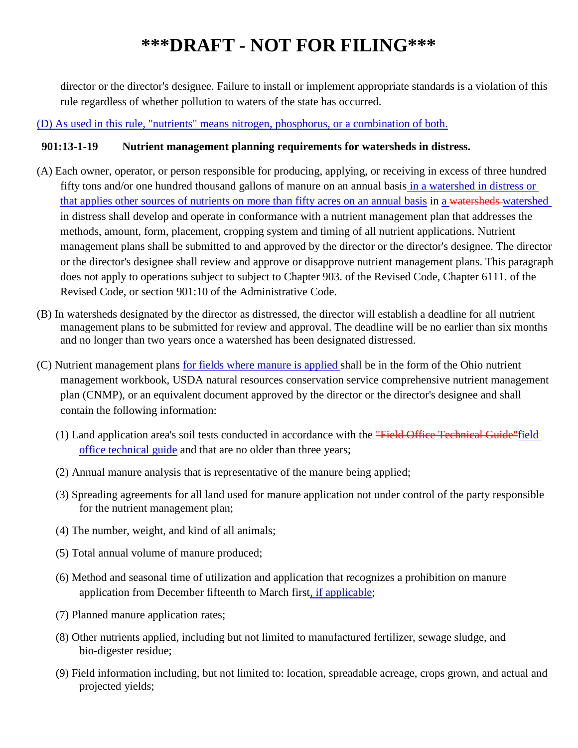director or the director's designee. Failure to install or implement appropriate standards is a violation of this rule regardless of whether pollution to waters of the state has occurred.

#### (D) As used in this rule, "nutrients" means nitrogen, phosphorus, or a combination of both.

#### **901:13-1-19 Nutrient management planning requirements for watersheds in distress.**

- (A) Each owner, operator, or person responsible for producing, applying, or receiving in excess of three hundred fifty tons and/or one hundred thousand gallons of manure on an annual basis in a watershed in distress or that applies other sources of nutrients on more than fifty acres on an annual basis in a watersheds watershed in distress shall develop and operate in conformance with a nutrient management plan that addresses the methods, amount, form, placement, cropping system and timing of all nutrient applications. Nutrient management plans shall be submitted to and approved by the director or the director's designee. The director or the director's designee shall review and approve or disapprove nutrient management plans. This paragraph does not apply to operations subject to subject to Chapter 903. of the Revised Code, Chapter 6111. of the Revised Code, or section 901:10 of the Administrative Code.
- (B) In watersheds designated by the director as distressed, the director will establish a deadline for all nutrient management plans to be submitted for review and approval. The deadline will be no earlier than six months and no longer than two years once a watershed has been designated distressed.
- (C) Nutrient management plans for fields where manure is applied shall be in the form of the Ohio nutrient management workbook, USDA natural resources conservation service comprehensive nutrient management plan (CNMP), or an equivalent document approved by the director or the director's designee and shall contain the following information:
	- (1) Land application area's soil tests conducted in accordance with the "Field Office Technical Guide"field office technical guide and that are no older than three years;
	- (2) Annual manure analysis that is representative of the manure being applied;
	- (3) Spreading agreements for all land used for manure application not under control of the party responsible for the nutrient management plan;
	- (4) The number, weight, and kind of all animals;
	- (5) Total annual volume of manure produced;
	- (6) Method and seasonal time of utilization and application that recognizes a prohibition on manure application from December fifteenth to March first, if applicable;
	- (7) Planned manure application rates;
	- (8) Other nutrients applied, including but not limited to manufactured fertilizer, sewage sludge, and bio-digester residue;
	- (9) Field information including, but not limited to: location, spreadable acreage, crops grown, and actual and projected yields;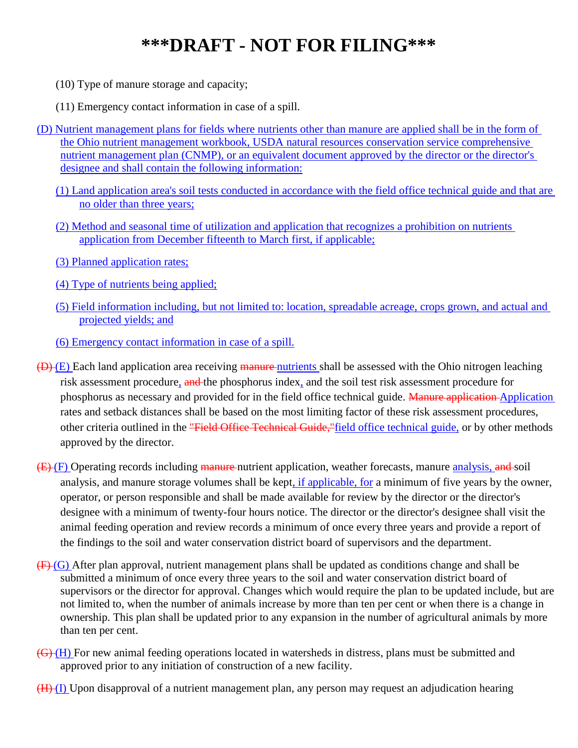(10) Type of manure storage and capacity;

(11) Emergency contact information in case of a spill.

- (D) Nutrient management plans for fields where nutrients other than manure are applied shall be in the form of the Ohio nutrient management workbook, USDA natural resources conservation service comprehensive nutrient management plan (CNMP), or an equivalent document approved by the director or the director's designee and shall contain the following information:
	- (1) Land application area's soil tests conducted in accordance with the field office technical guide and that are no older than three years;
	- (2) Method and seasonal time of utilization and application that recognizes a prohibition on nutrients application from December fifteenth to March first, if applicable;
	- (3) Planned application rates;
	- (4) Type of nutrients being applied;
	- (5) Field information including, but not limited to: location, spreadable acreage, crops grown, and actual and projected yields; and
	- (6) Emergency contact information in case of a spill.
- $(D)(E)$  Each land application area receiving manure nutrients shall be assessed with the Ohio nitrogen leaching risk assessment procedure, and the phosphorus index, and the soil test risk assessment procedure for phosphorus as necessary and provided for in the field office technical guide. Manure application Application rates and setback distances shall be based on the most limiting factor of these risk assessment procedures, other criteria outlined in the "Field Office Technical Guide,"field office technical guide, or by other methods approved by the director.
- (E) (F) Operating records including manure nutrient application, weather forecasts, manure analysis, and soil analysis, and manure storage volumes shall be kept, if applicable, for a minimum of five years by the owner, operator, or person responsible and shall be made available for review by the director or the director's designee with a minimum of twenty-four hours notice. The director or the director's designee shall visit the animal feeding operation and review records a minimum of once every three years and provide a report of the findings to the soil and water conservation district board of supervisors and the department.
- $(F)(G)$  After plan approval, nutrient management plans shall be updated as conditions change and shall be submitted a minimum of once every three years to the soil and water conservation district board of supervisors or the director for approval. Changes which would require the plan to be updated include, but are not limited to, when the number of animals increase by more than ten per cent or when there is a change in ownership. This plan shall be updated prior to any expansion in the number of agricultural animals by more than ten per cent.
- (G) (H) For new animal feeding operations located in watersheds in distress, plans must be submitted and approved prior to any initiation of construction of a new facility.
- $(H)$  (I) Upon disapproval of a nutrient management plan, any person may request an adjudication hearing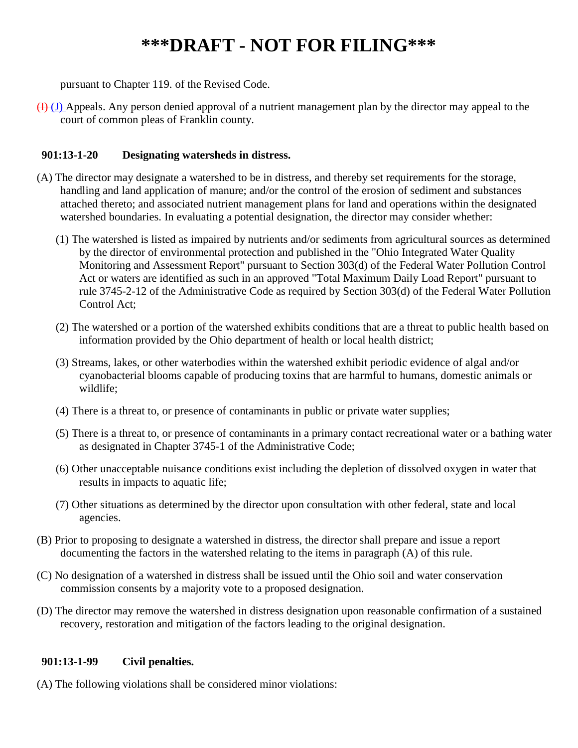pursuant to Chapter 119. of the Revised Code.

 $(H)(J)$  Appeals. Any person denied approval of a nutrient management plan by the director may appeal to the court of common pleas of Franklin county.

### **901:13-1-20 Designating watersheds in distress.**

- (A) The director may designate a watershed to be in distress, and thereby set requirements for the storage, handling and land application of manure; and/or the control of the erosion of sediment and substances attached thereto; and associated nutrient management plans for land and operations within the designated watershed boundaries. In evaluating a potential designation, the director may consider whether:
	- (1) The watershed is listed as impaired by nutrients and/or sediments from agricultural sources as determined by the director of environmental protection and published in the "Ohio Integrated Water Quality Monitoring and Assessment Report" pursuant to Section 303(d) of the Federal Water Pollution Control Act or waters are identified as such in an approved "Total Maximum Daily Load Report" pursuant to rule 3745-2-12 of the Administrative Code as required by Section 303(d) of the Federal Water Pollution Control Act;
	- (2) The watershed or a portion of the watershed exhibits conditions that are a threat to public health based on information provided by the Ohio department of health or local health district;
	- (3) Streams, lakes, or other waterbodies within the watershed exhibit periodic evidence of algal and/or cyanobacterial blooms capable of producing toxins that are harmful to humans, domestic animals or wildlife;
	- (4) There is a threat to, or presence of contaminants in public or private water supplies;
	- (5) There is a threat to, or presence of contaminants in a primary contact recreational water or a bathing water as designated in Chapter 3745-1 of the Administrative Code;
	- (6) Other unacceptable nuisance conditions exist including the depletion of dissolved oxygen in water that results in impacts to aquatic life;
	- (7) Other situations as determined by the director upon consultation with other federal, state and local agencies.
- (B) Prior to proposing to designate a watershed in distress, the director shall prepare and issue a report documenting the factors in the watershed relating to the items in paragraph (A) of this rule.
- (C) No designation of a watershed in distress shall be issued until the Ohio soil and water conservation commission consents by a majority vote to a proposed designation.
- (D) The director may remove the watershed in distress designation upon reasonable confirmation of a sustained recovery, restoration and mitigation of the factors leading to the original designation.

### **901:13-1-99 Civil penalties.**

(A) The following violations shall be considered minor violations: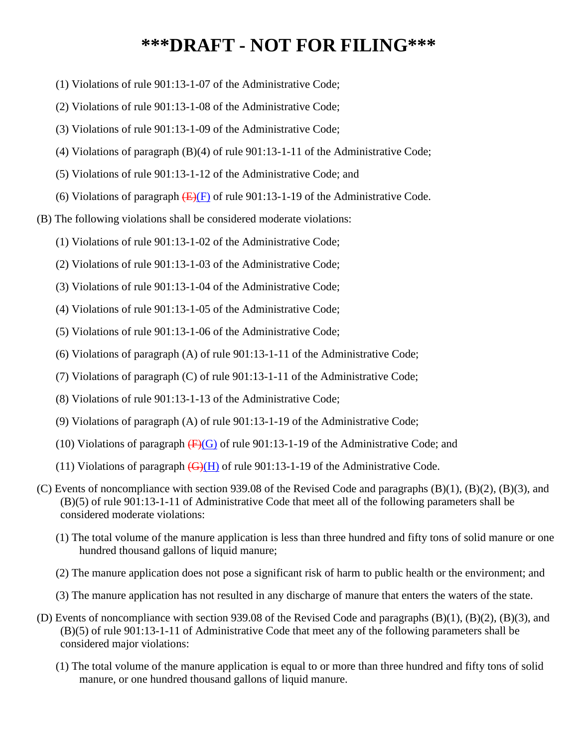- (1) Violations of rule 901:13-1-07 of the Administrative Code;
- (2) Violations of rule 901:13-1-08 of the Administrative Code;
- (3) Violations of rule 901:13-1-09 of the Administrative Code;
- (4) Violations of paragraph (B)(4) of rule 901:13-1-11 of the Administrative Code;
- (5) Violations of rule 901:13-1-12 of the Administrative Code; and
- (6) Violations of paragraph  $(E)(F)$  of rule 901:13-1-19 of the Administrative Code.
- (B) The following violations shall be considered moderate violations:
	- (1) Violations of rule 901:13-1-02 of the Administrative Code;
	- (2) Violations of rule 901:13-1-03 of the Administrative Code;
	- (3) Violations of rule 901:13-1-04 of the Administrative Code;
	- (4) Violations of rule 901:13-1-05 of the Administrative Code;
	- (5) Violations of rule 901:13-1-06 of the Administrative Code;
	- (6) Violations of paragraph (A) of rule 901:13-1-11 of the Administrative Code;
	- (7) Violations of paragraph (C) of rule 901:13-1-11 of the Administrative Code;
	- (8) Violations of rule 901:13-1-13 of the Administrative Code;
	- (9) Violations of paragraph (A) of rule 901:13-1-19 of the Administrative Code;
	- (10) Violations of paragraph  $\left(\frac{F}{G}\right)$  of rule 901:13-1-19 of the Administrative Code; and
	- (11) Violations of paragraph  $\left(\frac{G}{H}\right)$  of rule 901:13-1-19 of the Administrative Code.
- (C) Events of noncompliance with section 939.08 of the Revised Code and paragraphs (B)(1), (B)(2), (B)(3), and (B)(5) of rule 901:13-1-11 of Administrative Code that meet all of the following parameters shall be considered moderate violations:
	- (1) The total volume of the manure application is less than three hundred and fifty tons of solid manure or one hundred thousand gallons of liquid manure;
	- (2) The manure application does not pose a significant risk of harm to public health or the environment; and
	- (3) The manure application has not resulted in any discharge of manure that enters the waters of the state.
- (D) Events of noncompliance with section 939.08 of the Revised Code and paragraphs (B)(1), (B)(2), (B)(3), and (B)(5) of rule 901:13-1-11 of Administrative Code that meet any of the following parameters shall be considered major violations:
	- (1) The total volume of the manure application is equal to or more than three hundred and fifty tons of solid manure, or one hundred thousand gallons of liquid manure.